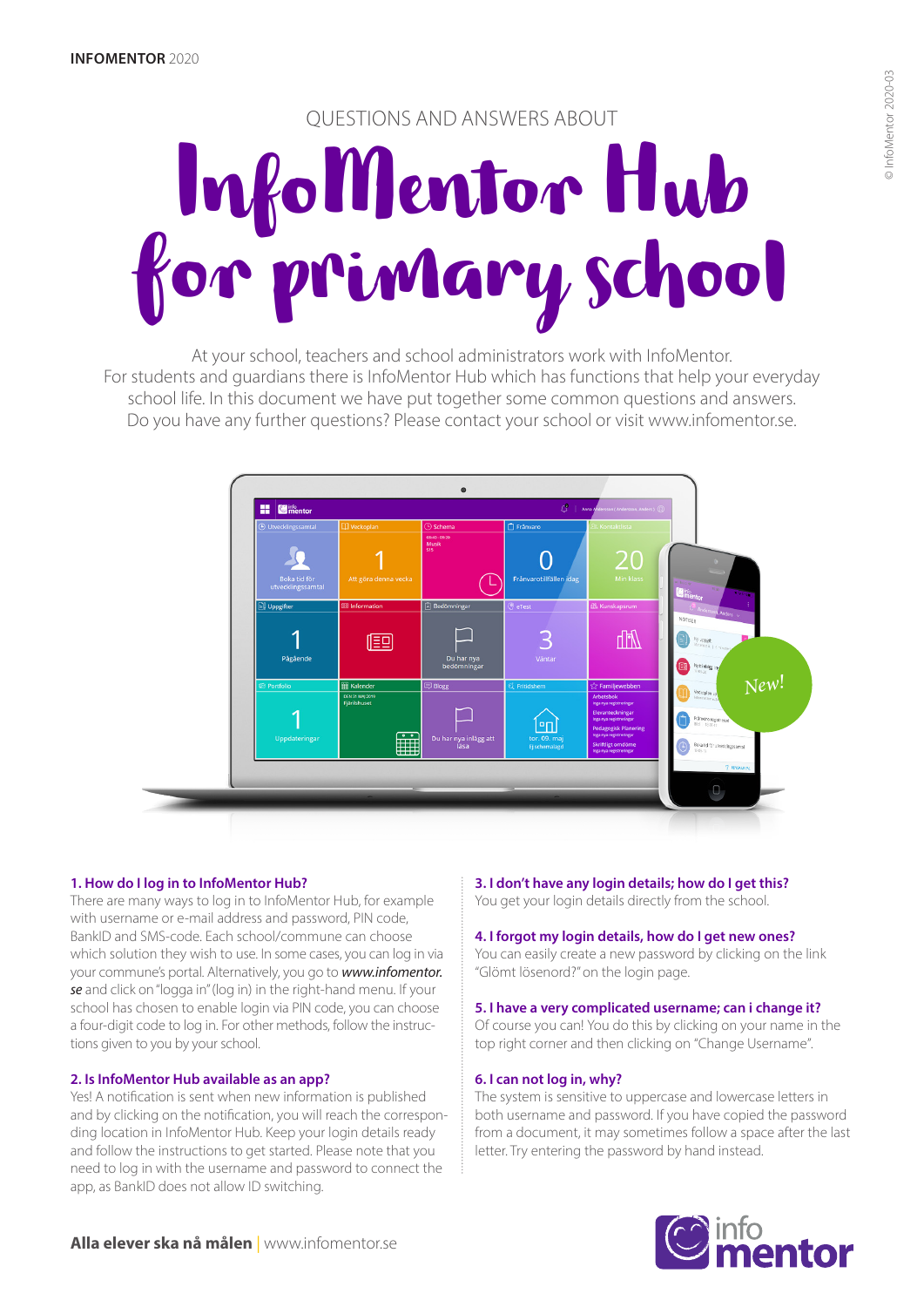# QUESTIONS AND ANSWERS ABOUT

# InfoMentor Hub for primary school

At your school, teachers and school administrators work with InfoMentor. For students and guardians there is InfoMentor Hub which has functions that help your everyday school life. In this document we have put together some common questions and answers. Do you have any further questions? Please contact your school or visit www.infomentor.se.



# **1. How do I log in to InfoMentor Hub?**

There are many ways to log in to InfoMentor Hub, for example with username or e-mail address and password, PIN code, BankID and SMS-code. Each school/commune can choose which solution they wish to use. In some cases, you can log in via your commune's portal. Alternatively, you go to *www.infomentor. se* and click on "logga in" (log in) in the right-hand menu. If your school has chosen to enable login via PIN code, you can choose a four-digit code to log in. For other methods, follow the instructions given to you by your school.

# **2. Is InfoMentor Hub available as an app?**

Yes! A notification is sent when new information is published and by clicking on the notification, you will reach the corresponding location in InfoMentor Hub. Keep your login details ready and follow the instructions to get started. Please note that you need to log in with the username and password to connect the app, as BankID does not allow ID switching.

### **3. I don't have any login details; how do I get this?**  You get your login details directly from the school.

### **4. I forgot my login details, how do I get new ones?**

You can easily create a new password by clicking on the link "Glömt lösenord?" on the login page.

### **5. I have a very complicated username; can i change it?**

Of course you can! You do this by clicking on your name in the top right corner and then clicking on "Change Username".

### **6. I can not log in, why?**

The system is sensitive to uppercase and lowercase letters in both username and password. If you have copied the password from a document, it may sometimes follow a space after the last letter. Try entering the password by hand instead.